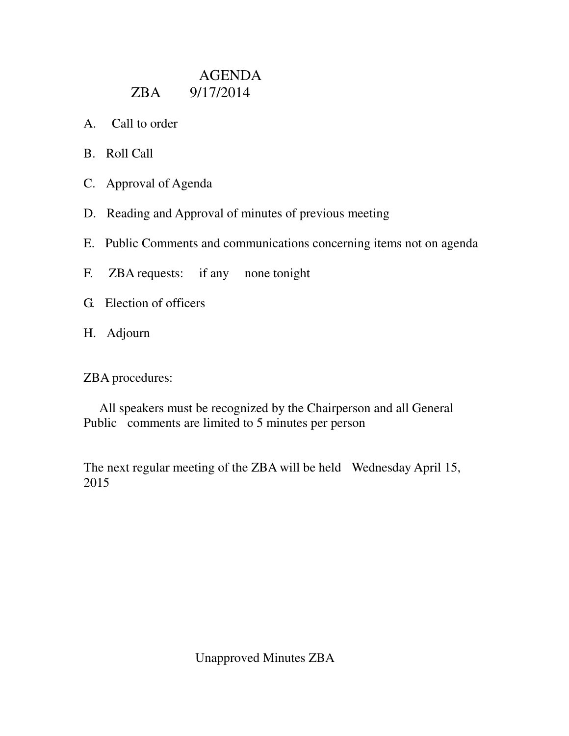## AGENDA ZBA 9/17/2014

- A. Call to order
- B. Roll Call
- C. Approval of Agenda
- D. Reading and Approval of minutes of previous meeting
- E. Public Comments and communications concerning items not on agenda
- F. ZBA requests: if any none tonight
- G. Election of officers
- H. Adjourn

ZBA procedures:

 All speakers must be recognized by the Chairperson and all General Public comments are limited to 5 minutes per person

The next regular meeting of the ZBA will be held Wednesday April 15, 2015